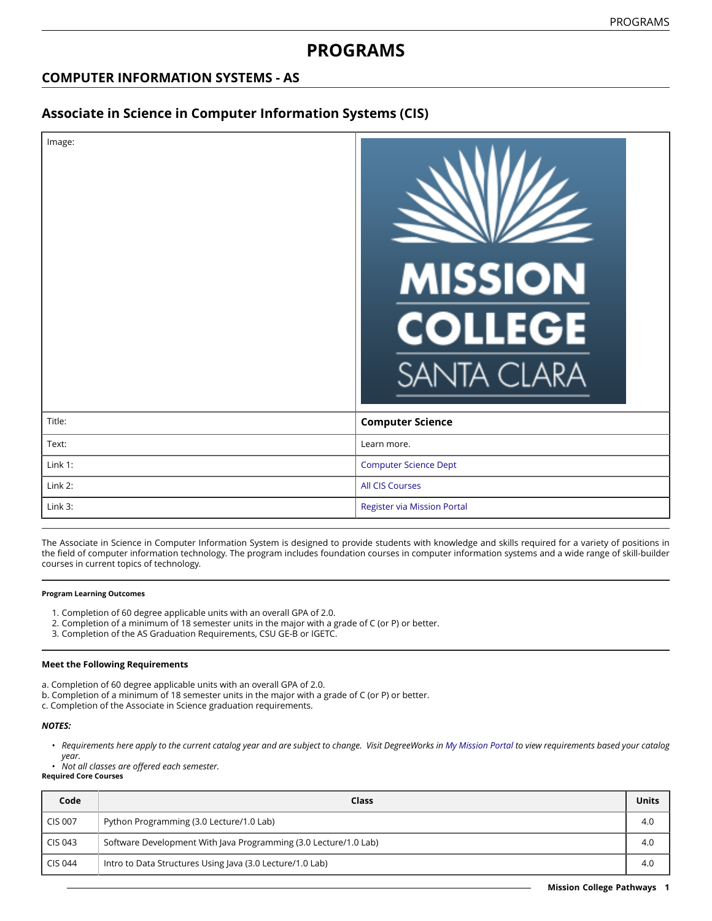# **PROGRAMS**

## **COMPUTER INFORMATION SYSTEMS - AS**

### **Associate in Science in Computer Information Systems (CIS)**

| Image:  | <b>MISSION</b><br><b>COLLEGE</b><br><b>SANTA CLARA</b> |
|---------|--------------------------------------------------------|
| Title:  | <b>Computer Science</b>                                |
| Text:   | Learn more.                                            |
| Link 1: | <b>Computer Science Dept</b>                           |
| Link 2: | <b>All CIS Courses</b>                                 |
| Link 3: | Register via Mission Portal                            |

The Associate in Science in Computer Information System is designed to provide students with knowledge and skills required for a variety of positions in the field of computer information technology. The program includes foundation courses in computer information systems and a wide range of skill-builder courses in current topics of technology.

#### **Program Learning Outcomes**

- 1. Completion of 60 degree applicable units with an overall GPA of 2.0.
- 2. Completion of a minimum of 18 semester units in the major with a grade of C (or P) or better.
- 3. Completion of the AS Graduation Requirements, CSU GE-B or IGETC.

#### **Meet the Following Requirements**

- a. Completion of 60 degree applicable units with an overall GPA of 2.0.
- b. Completion of a minimum of 18 semester units in the major with a grade of C (or P) or better.
- c. Completion of the Associate in Science graduation requirements.

#### *NOTES:*

• Requirements here apply to the current catalog year and are subject to change. Visit DegreeWorks in [My Mission Portal](https://wvmccd.sharepoint.com/sites/MCPortal) to view requirements based your catalog *year.*

• *Not all classes are offered each semester.*

**Required Core Courses**

| Code           | Class                                                            | Units |
|----------------|------------------------------------------------------------------|-------|
| <b>CIS 007</b> | Python Programming (3.0 Lecture/1.0 Lab)                         | 4.0   |
| CIS 043        | Software Development With Java Programming (3.0 Lecture/1.0 Lab) |       |
| CIS 044        | Intro to Data Structures Using Java (3.0 Lecture/1.0 Lab)        | 4.0   |